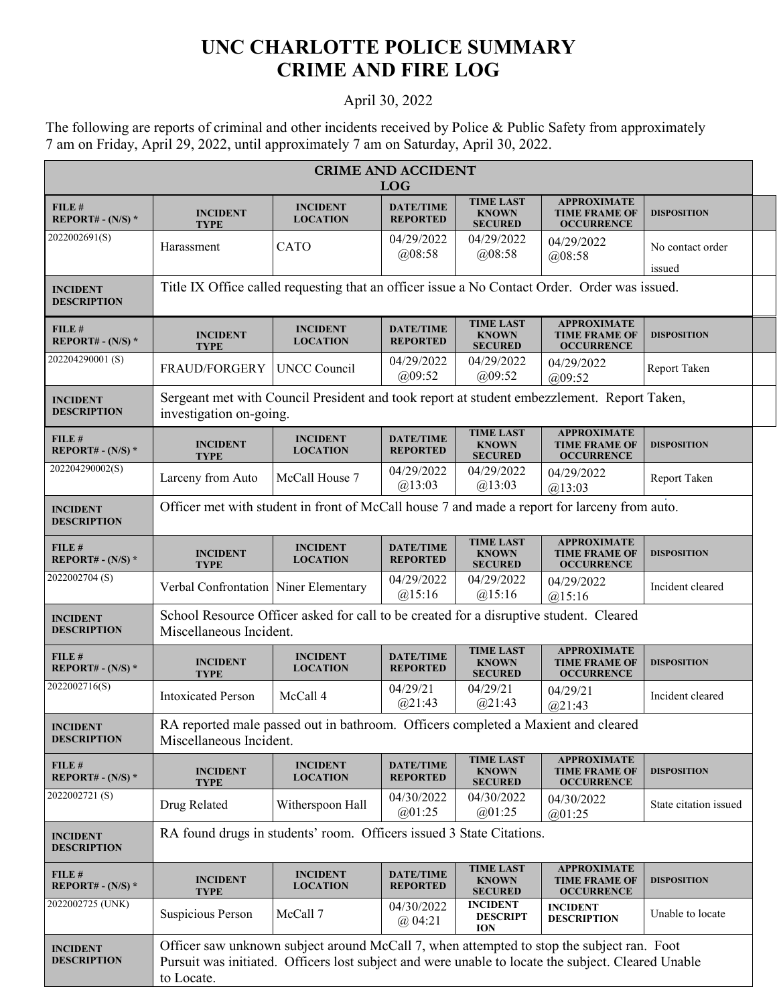## **UNC CHARLOTTE POLICE SUMMARY CRIME AND FIRE LOG**

## April 30, 2022

The following are reports of criminal and other incidents received by Police & Public Safety from approximately 7 am on Friday, April 29, 2022, until approximately 7 am on Saturday, April 30, 2022.

| <b>CRIME AND ACCIDENT</b><br><b>LOG</b> |                                                                                                                                                                                                               |                                    |                                     |                                                    |                                                                 |                            |  |
|-----------------------------------------|---------------------------------------------------------------------------------------------------------------------------------------------------------------------------------------------------------------|------------------------------------|-------------------------------------|----------------------------------------------------|-----------------------------------------------------------------|----------------------------|--|
| FILE #<br>REPORT# - $(N/S)$ *           | <b>INCIDENT</b><br><b>TYPE</b>                                                                                                                                                                                | <b>INCIDENT</b><br><b>LOCATION</b> | <b>DATE/TIME</b><br><b>REPORTED</b> | <b>TIME LAST</b><br><b>KNOWN</b><br><b>SECURED</b> | <b>APPROXIMATE</b><br><b>TIME FRAME OF</b><br><b>OCCURRENCE</b> | <b>DISPOSITION</b>         |  |
| 2022002691(S)                           | Harassment                                                                                                                                                                                                    | CATO                               | 04/29/2022<br>@08:58                | 04/29/2022<br>(208:58)                             | 04/29/2022<br>@08:58                                            | No contact order<br>issued |  |
| <b>INCIDENT</b><br><b>DESCRIPTION</b>   | Title IX Office called requesting that an officer issue a No Contact Order. Order was issued.                                                                                                                 |                                    |                                     |                                                    |                                                                 |                            |  |
| FILE #<br>REPORT# - $(N/S)$ *           | <b>INCIDENT</b><br><b>TYPE</b>                                                                                                                                                                                | <b>INCIDENT</b><br><b>LOCATION</b> | <b>DATE/TIME</b><br><b>REPORTED</b> | <b>TIME LAST</b><br><b>KNOWN</b><br><b>SECURED</b> | <b>APPROXIMATE</b><br><b>TIME FRAME OF</b><br><b>OCCURRENCE</b> | <b>DISPOSITION</b>         |  |
| 202204290001(S)                         | <b>FRAUD/FORGERY</b>                                                                                                                                                                                          | <b>UNCC Council</b>                | 04/29/2022<br>(a)09:52              | 04/29/2022<br>(a)09:52                             | 04/29/2022<br>(a)09:52                                          | Report Taken               |  |
| <b>INCIDENT</b><br><b>DESCRIPTION</b>   | Sergeant met with Council President and took report at student embezzlement. Report Taken,<br>investigation on-going.                                                                                         |                                    |                                     |                                                    |                                                                 |                            |  |
| FILE#<br>REPORT# - $(N/S)$ *            | <b>INCIDENT</b><br><b>TYPE</b>                                                                                                                                                                                | <b>INCIDENT</b><br><b>LOCATION</b> | <b>DATE/TIME</b><br><b>REPORTED</b> | <b>TIME LAST</b><br><b>KNOWN</b><br><b>SECURED</b> | <b>APPROXIMATE</b><br><b>TIME FRAME OF</b><br><b>OCCURRENCE</b> | <b>DISPOSITION</b>         |  |
| 202204290002(S)                         | Larceny from Auto                                                                                                                                                                                             | McCall House 7                     | 04/29/2022<br>@13:03                | 04/29/2022<br>@13:03                               | 04/29/2022<br>$(a)$ 13:03                                       | Report Taken               |  |
| <b>INCIDENT</b><br><b>DESCRIPTION</b>   | Officer met with student in front of McCall house 7 and made a report for larceny from auto.                                                                                                                  |                                    |                                     |                                                    |                                                                 |                            |  |
| FILE#<br>REPORT# - $(N/S)$ *            | <b>INCIDENT</b><br><b>TYPE</b>                                                                                                                                                                                | <b>INCIDENT</b><br><b>LOCATION</b> | <b>DATE/TIME</b><br><b>REPORTED</b> | <b>TIME LAST</b><br><b>KNOWN</b><br><b>SECURED</b> | <b>APPROXIMATE</b><br><b>TIME FRAME OF</b><br><b>OCCURRENCE</b> | <b>DISPOSITION</b>         |  |
| 2022002704 (S)                          | Verbal Confrontation Niner Elementary                                                                                                                                                                         |                                    | 04/29/2022<br>@15:16                | 04/29/2022<br>@15:16                               | 04/29/2022<br>@15:16                                            | Incident cleared           |  |
| <b>INCIDENT</b><br><b>DESCRIPTION</b>   | School Resource Officer asked for call to be created for a disruptive student. Cleared<br>Miscellaneous Incident.                                                                                             |                                    |                                     |                                                    |                                                                 |                            |  |
| FILE #<br>REPORT# - $(N/S)$ *           | <b>INCIDENT</b><br><b>TYPE</b>                                                                                                                                                                                | <b>INCIDENT</b><br><b>LOCATION</b> | <b>DATE/TIME</b><br><b>REPORTED</b> | <b>TIME LAST</b><br><b>KNOWN</b><br><b>SECURED</b> | <b>APPROXIMATE</b><br><b>TIME FRAME OF</b><br><b>OCCURRENCE</b> | <b>DISPOSITION</b>         |  |
| 2022002716(S)                           | <b>Intoxicated Person</b>                                                                                                                                                                                     | McCall 4                           | 04/29/21<br>(a)21:43                | 04/29/21<br>@21:43                                 | 04/29/21<br>@21:43                                              | Incident cleared           |  |
| <b>INCIDENT</b><br><b>DESCRIPTION</b>   | RA reported male passed out in bathroom. Officers completed a Maxient and cleared<br>Miscellaneous Incident.                                                                                                  |                                    |                                     |                                                    |                                                                 |                            |  |
| FILE#<br>REPORT# - $(N/S)$ *            | <b>INCIDENT</b><br><b>TYPE</b>                                                                                                                                                                                | <b>INCIDENT</b><br><b>LOCATION</b> | <b>DATE/TIME</b><br><b>REPORTED</b> | <b>TIME LAST</b><br><b>KNOWN</b><br><b>SECURED</b> | <b>APPROXIMATE</b><br><b>TIME FRAME OF</b><br><b>OCCURRENCE</b> | <b>DISPOSITION</b>         |  |
| 2022002721 (S)                          | Drug Related                                                                                                                                                                                                  | Witherspoon Hall                   | 04/30/2022<br>@01:25                | 04/30/2022<br>@01:25                               | 04/30/2022<br>@01:25                                            | State citation issued      |  |
| <b>INCIDENT</b><br><b>DESCRIPTION</b>   | RA found drugs in students' room. Officers issued 3 State Citations.                                                                                                                                          |                                    |                                     |                                                    |                                                                 |                            |  |
| FILE#<br>REPORT# - $(N/S)$ *            | <b>INCIDENT</b><br><b>TYPE</b>                                                                                                                                                                                | <b>INCIDENT</b><br><b>LOCATION</b> | <b>DATE/TIME</b><br><b>REPORTED</b> | <b>TIME LAST</b><br><b>KNOWN</b><br><b>SECURED</b> | <b>APPROXIMATE</b><br><b>TIME FRAME OF</b><br><b>OCCURRENCE</b> | <b>DISPOSITION</b>         |  |
| 2022002725 (UNK)                        | Suspicious Person                                                                                                                                                                                             | McCall 7                           | 04/30/2022<br>@04:21                | <b>INCIDENT</b><br><b>DESCRIPT</b><br><b>ION</b>   | <b>INCIDENT</b><br><b>DESCRIPTION</b>                           | Unable to locate           |  |
| <b>INCIDENT</b><br><b>DESCRIPTION</b>   | Officer saw unknown subject around McCall 7, when attempted to stop the subject ran. Foot<br>Pursuit was initiated. Officers lost subject and were unable to locate the subject. Cleared Unable<br>to Locate. |                                    |                                     |                                                    |                                                                 |                            |  |